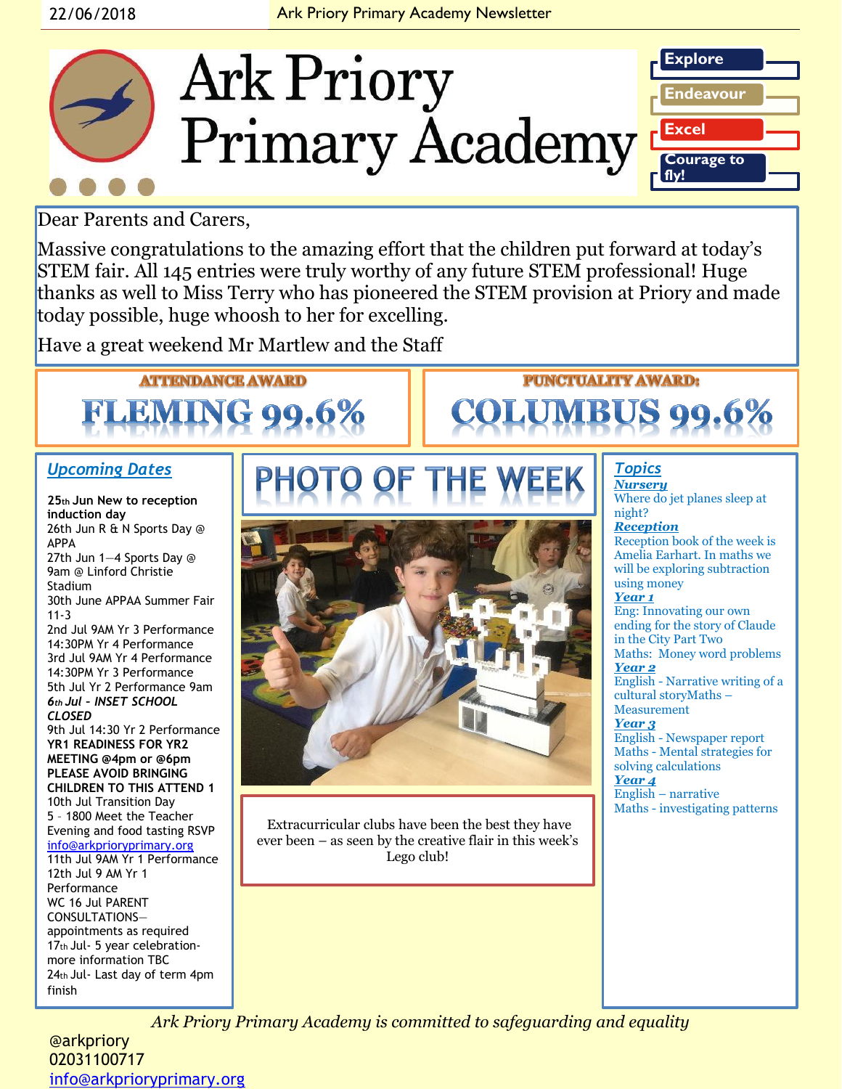

Dear Parents and Carers,

Massive congratulations to the amazing effort that the children put forward at today's STEM fair. All 145 entries were truly worthy of any future STEM professional! Huge thanks as well to Miss Terry who has pioneered the STEM provision at Priory and made today possible, huge whoosh to her for excelling.

Have a great weekend Mr Martlew and the Staff

# **ATTENDANCE AWARD FLEMING 99**

### *Upcoming Dates*

**25th Jun New to reception induction day**  26th Jun R & N Sports Day @ APPA 27th Jun 1—4 Sports Day @ 9am @ Linford Christie Stadium 30th June APPAA Summer Fair 11-3 2nd Jul 9AM Yr 3 Performance 14:30PM Yr 4 Performance 3rd Jul 9AM Yr 4 Performance 14:30PM Yr 3 Performance 5th Jul Yr 2 Performance 9am *6th Jul – INSET SCHOOL CLOSED*  9th Jul 14:30 Yr 2 Performance **YR1 READINESS FOR YR2 MEETING @4pm or @6pm PLEASE AVOID BRINGING CHILDREN TO THIS ATTEND 1** 10th Jul Transition Day 5 – 1800 Meet the Teacher Evening and food tasting RSVP [info@arkprioryprimary.org](mailto:info@arkprioryprimary.org) 11th Jul 9AM Yr 1 Performance 12th Jul 9 AM Yr 1 Performance WC 16 Jul PARENT CONSULTATIONS appointments as required 17th Jul- 5 year celebrationmore information TBC 24th Jul- Last day of term 4pm

Extracurricular clubs have been the best they have ever been – as seen by the creative flair in this week's Lego club!

## *Topics*

**PUNCTUALITY AWARD:** 

**COLUMBUS 90** 

*Nursery* Where do jet planes sleep at night? *Reception*  Reception book of the week is Amelia Earhart. In maths we will be exploring subtraction using money *Year 1* Eng: Innovating our own ending for the story of Claude in the City Part Two Maths: Money word problems *Year 2* English - Narrative writing of a cultural storyMaths – Measurement *Year 3* English - Newspaper report Maths - Mental strategies for solving calculations *Year 4*

English – narrative Maths - investigating patterns

*Ark Priory Primary Academy is committed to safeguarding and equality* 

@arkpriory 02031100717 [info@arkprioryprimary.org](mailto:info@arkprioryprimary.org) 

finish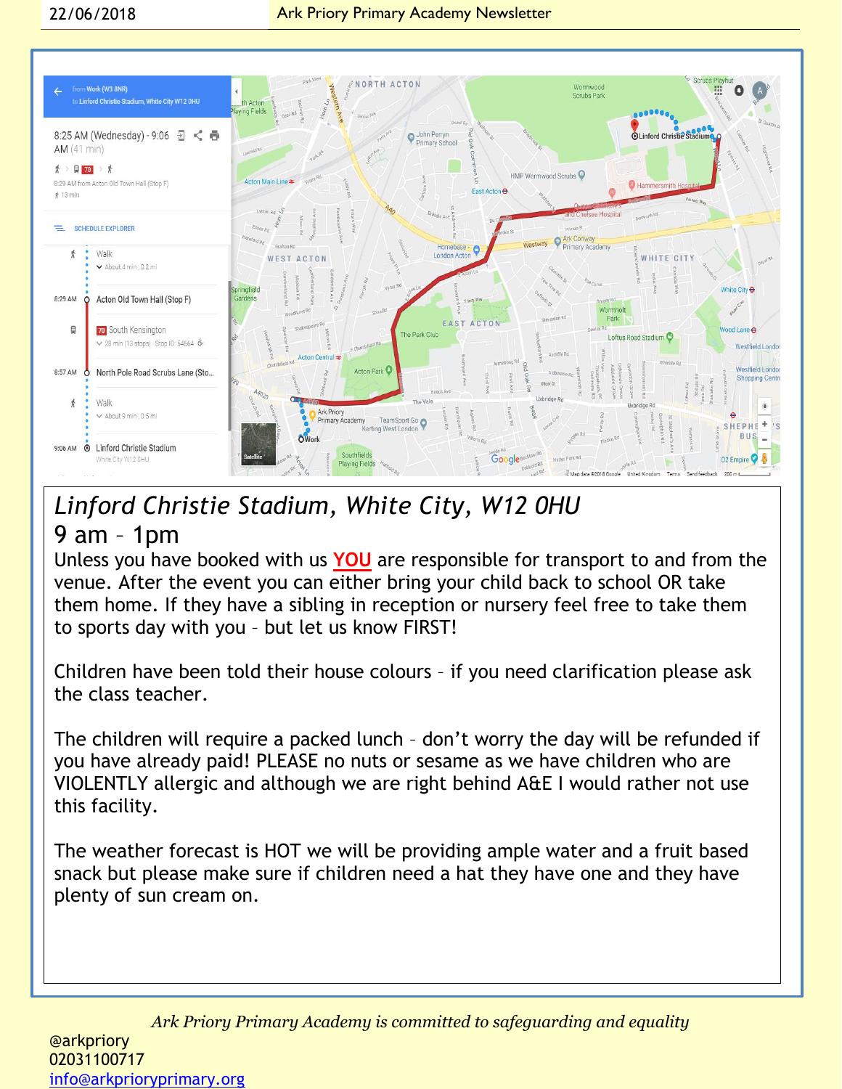

## *Linford Christie Stadium, White City, W12 0HU* 9 am – 1pm

Unless you have booked with us **YOU** are responsible for transport to and from the venue. After the event you can either bring your child back to school OR take them home. If they have a sibling in reception or nursery feel free to take them to sports day with you – but let us know FIRST!

Children have been told their house colours – if you need clarification please ask the class teacher.

The children will require a packed lunch – don't worry the day will be refunded if you have already paid! PLEASE no nuts or sesame as we have children who are VIOLENTLY allergic and although we are right behind A&E I would rather not use this facility.

The weather forecast is HOT we will be providing ample water and a fruit based snack but please make sure if children need a hat they have one and they have plenty of sun cream on.

*Ark Priory Primary Academy is committed to safeguarding and equality*  @arkpriory 02031100717 [info@arkprioryprimary.org](mailto:info@arkprioryprimary.org)